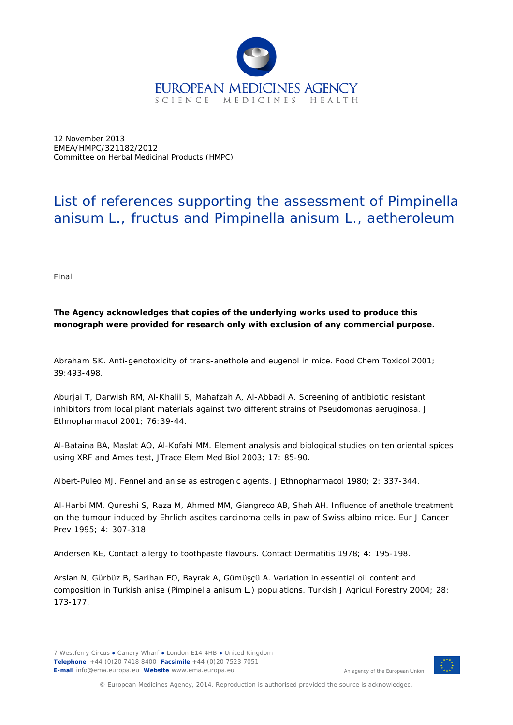

12 November 2013 EMEA/HMPC/321182/2012 Committee on Herbal Medicinal Products (HMPC)

## List of references supporting the assessment of *Pimpinella anisum* L., fructus and *Pimpinella anisum* L., aetheroleum

Final

## **The Agency acknowledges that copies of the underlying works used to produce this monograph were provided for research only with exclusion of any commercial purpose.**

Abraham SK. Anti-genotoxicity of trans-anethole and eugenol in mice. Food Chem Toxicol 2001; 39:493-498*.*

Aburjai T, Darwish RM, Al-Khalil S, Mahafzah A, Al-Abbadi A. Screening of antibiotic resistant inhibitors from local plant materials against two different strains of *Pseudomonas aeruginosa.* J Ethnopharmacol 2001; 76:39-44.

Al-Bataina BA, Maslat AO, Al-Kofahi MM. Element analysis and biological studies on ten oriental spices using XRF and Ames test, JTrace Elem Med Biol 2003; 17: 85-90.

Albert-Puleo MJ. Fennel and anise as estrogenic agents. J Ethnopharmacol 1980; 2: 337-344.

Al-Harbi MM, Qureshi S, Raza M, Ahmed MM, Giangreco AB, Shah AH. Influence of anethole treatment on the tumour induced by Ehrlich ascites carcinoma cells in paw of Swiss albino mice. Eur J Cancer Prev 1995; 4: 307-318.

Andersen KE, Contact allergy to toothpaste flavours. Contact Dermatitis 1978; 4: 195-198.

Arslan N, Gürbüz B, Sarihan EO, Bayrak A, Gümüşçü A. Variation in essential oil content and composition in Turkish anise (*Pimpinella anisum* L.) populations. Turkish J Agricul Forestry 2004; 28: 173-177.



An agency of the European Union

© European Medicines Agency, 2014. Reproduction is authorised provided the source is acknowledged.

<sup>7</sup> Westferry Circus **●** Canary Wharf **●** London E14 4HB **●** United Kingdom **Telephone** +44 (0)20 7418 8400 **Facsimile** +44 (0)20 7523 7051 **E-mail** info@ema.europa.eu **Website** www.ema.europa.eu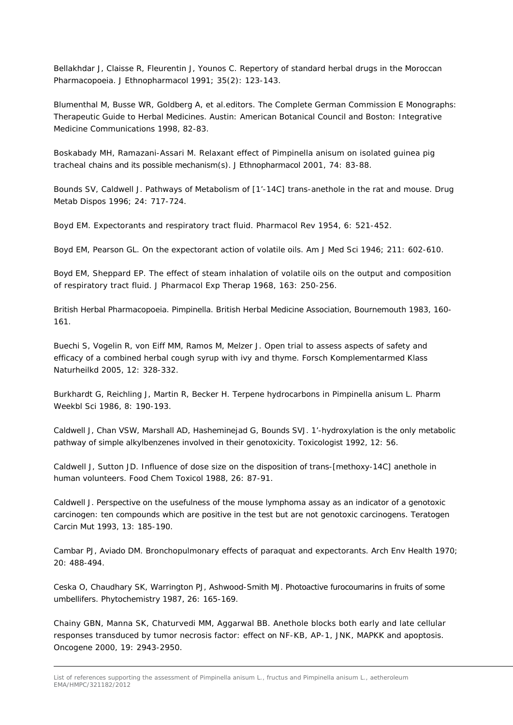Bellakhdar J, Claisse R, Fleurentin J, Younos C. Repertory of standard herbal drugs in the Moroccan Pharmacopoeia. J Ethnopharmacol 1991; 35(2): 123-143.

Blumenthal M, Busse WR, Goldberg A, *et al.*editors. The Complete German Commission E Monographs: Therapeutic Guide to Herbal Medicines. Austin: American Botanical Council and Boston: Integrative Medicine Communications 1998, 82-83.

Boskabady MH, Ramazani-Assari M. Relaxant effect of *Pimpinella anisum* on isolated guinea pig tracheal chains and its possible mechanism(s). J Ethnopharmacol 2001, 74: 83-88.

Bounds SV, Caldwell J. Pathways of Metabolism of [1'-14C] trans-anethole in the rat and mouse. Drug Metab Dispos 1996; 24: 717-724.

Boyd EM. Expectorants and respiratory tract fluid. Pharmacol Rev 1954, 6: 521-452.

Boyd EM, Pearson GL. On the expectorant action of volatile oils. Am J Med Sci 1946; 211: 602-610.

Boyd EM, Sheppard EP. The effect of steam inhalation of volatile oils on the output and composition of respiratory tract fluid. J Pharmacol Exp Therap 1968, 163: 250-256.

British Herbal Pharmacopoeia. Pimpinella. British Herbal Medicine Association, Bournemouth 1983, 160- 161.

Buechi S, Vogelin R, von Eiff MM, Ramos M, Melzer J. Open trial to assess aspects of safety and efficacy of a combined herbal cough syrup with ivy and thyme. Forsch Komplementarmed Klass Naturheilkd 2005, 12: 328-332.

[Burkhardt G,](http://www.ncbi.nlm.nih.gov/entrez/query.fcgi?db=pubmed&cmd=Search&itool=pubmed_Abstract&term=%22Burkhardt+G%22%5BAuthor%5D) [Reichling J,](http://www.ncbi.nlm.nih.gov/entrez/query.fcgi?db=pubmed&cmd=Search&itool=pubmed_Abstract&term=%22Reichling+J%22%5BAuthor%5D) [Martin R,](http://www.ncbi.nlm.nih.gov/entrez/query.fcgi?db=pubmed&cmd=Search&itool=pubmed_Abstract&term=%22Martin+R%22%5BAuthor%5D) [Becker H.](http://www.ncbi.nlm.nih.gov/entrez/query.fcgi?db=pubmed&cmd=Search&itool=pubmed_Abstract&term=%22Becker+H%22%5BAuthor%5D) Terpene hydrocarbons in Pimpinella anisum L. Pharm Weekbl Sci 1986, 8: 190-193.

Caldwell J, Chan VSW, Marshall AD, Hasheminejad G, Bounds SVJ. 1'-hydroxylation is the only metabolic pathway of simple alkylbenzenes involved in their genotoxicity. Toxicologist 1992, 12: 56.

Caldwell J, Sutton JD. Influence of dose size on the disposition of trans-[methoxy-14C] anethole in human volunteers. Food Chem Toxicol 1988, 26: 87-91.

Caldwell J. Perspective on the usefulness of the mouse lymphoma assay as an indicator of a genotoxic carcinogen: ten compounds which are positive in the test but are not genotoxic carcinogens. Teratogen Carcin Mut 1993, 13: 185-190.

Cambar PJ, Aviado DM. Bronchopulmonary effects of paraquat and expectorants. Arch Env Health 1970; 20: 488-494.

Ceska O, Chaudhary SK, Warrington PJ, Ashwood-Smith MJ. Photoactive furocoumarins in fruits of some umbellifers. Phytochemistry 1987, 26: 165-169.

Chainy GBN, Manna SK, Chaturvedi MM, Aggarwal BB. Anethole blocks both early and late cellular responses transduced by tumor necrosis factor: effect on NF-KB, AP-1, JNK, MAPKK and apoptosis. Oncogene 2000, 19: 2943-2950.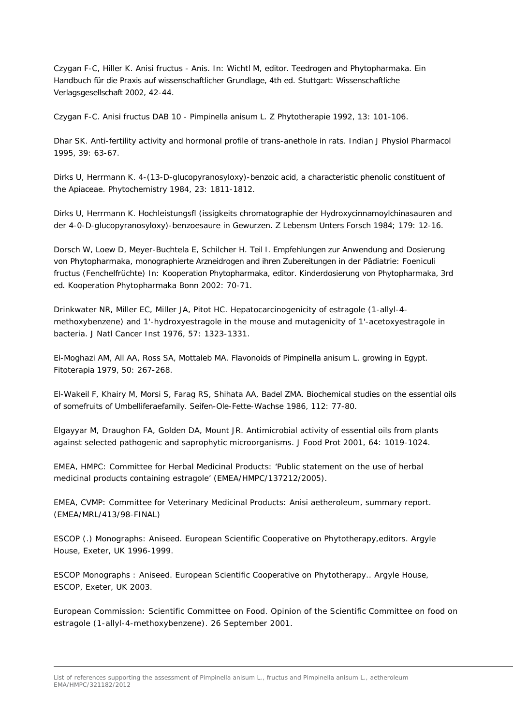Czygan F-C, Hiller K. Anisi fructus - Anis. In: Wichtl M, editor. Teedrogen and Phytopharmaka. Ein Handbuch für die Praxis auf wissenschaftlicher Grundlage, 4th ed. Stuttgart: Wissenschaftliche Verlagsgesellschaft 2002, 42-44.

Czygan F-C. Anisi fructus DAB 10 - *Pimpinella anisum* L. Z Phytotherapie 1992, 13: 101-106.

Dhar SK. Anti-fertility activity and hormonal profile of trans-anethole in rats. Indian J Physiol Pharmacol 1995, 39: 63-67.

Dirks U, Herrmann K. 4-(13-D-glucopyranosyloxy)-benzoic acid, a characteristic phenolic constituent of the Apiaceae. Phytochemistry 1984, 23: 1811-1812.

Dirks U, Herrmann K. Hochleistungsfl (issigkeits chromatographie der Hydroxycinnamoylchinasauren and der 4-0-D-glucopyranosyloxy)-benzoesaure in Gewurzen. Z Lebensm Unters Forsch 1984; 179: 12-16.

Dorsch W, Loew D, Meyer-Buchtela E, Schilcher H. Teil I. Empfehlungen zur Anwendung and Dosierung von Phytopharmaka, monographierte Arzneidrogen and ihren Zubereitungen in der Pädiatrie: Foeniculi fructus (Fenchelfrüchte) In: Kooperation Phytopharmaka, editor. Kinderdosierung von Phytopharmaka, 3rd ed. Kooperation Phytopharmaka Bonn 2002: 70-71.

[Drinkwater NR,](http://www.ncbi.nlm.nih.gov/entrez/query.fcgi?db=pubmed&cmd=Search&itool=pubmed_Abstract&term=%22Drinkwater+NR%22%5BAuthor%5D) [Miller EC,](http://www.ncbi.nlm.nih.gov/entrez/query.fcgi?db=pubmed&cmd=Search&itool=pubmed_Abstract&term=%22Miller+EC%22%5BAuthor%5D) [Miller JA,](http://www.ncbi.nlm.nih.gov/entrez/query.fcgi?db=pubmed&cmd=Search&itool=pubmed_Abstract&term=%22Miller+JA%22%5BAuthor%5D) [Pitot HC.](http://www.ncbi.nlm.nih.gov/entrez/query.fcgi?db=pubmed&cmd=Search&itool=pubmed_Abstract&term=%22Pitot+HC%22%5BAuthor%5D) Hepatocarcinogenicity of estragole (1-allyl-4 methoxybenzene) and 1'-hydroxyestragole in the mouse and mutagenicity of 1'-acetoxyestragole in bacteria. [J Natl Cancer Inst](javascript:AL_get(this,%20) 1976, 57: 1323-1331.

El-Moghazi AM, All AA, Ross SA, Mottaleb MA. Flavonoids of *Pimpinella* anisum L. growing in Egypt. Fitoterapia 1979, 50: 267-268.

El-Wakeil F, Khairy M, Morsi S, Farag RS, Shihata AA, Badel ZMA. Biochemical studies on the essential oils of somefruits of Umbelliferaefamily. Seifen-Ole-Fette-Wachse 1986, 112: 77-80.

Elgayyar M, Draughon FA, Golden DA, Mount JR. Antimicrobial activity of essential oils from plants against selected pathogenic and saprophytic microorganisms. J Food Prot 2001, 64: 1019-1024.

EMEA, HMPC: Committee for Herbal Medicinal Products: 'Public statement on the use of herbal medicinal products containing estragole' (EMEA/HMPC/137212/2005).

EMEA, CVMP: Committee for Veterinary Medicinal Products: Anisi aetheroleum, summary report. (EMEA/MRL/413/98-FINAL)

ESCOP (.) Monographs: Aniseed. European Scientific Cooperative on Phytotherapy,editors. Argyle House, Exeter, UK 1996-1999.

ESCOP Monographs : Aniseed. European Scientific Cooperative on Phytotherapy.. Argyle House, ESCOP, Exeter, UK 2003.

European Commission: Scientific Committee on Food. Opinion of the Scientific Committee on food on estragole (1-allyl-4-methoxybenzene). 26 September 2001.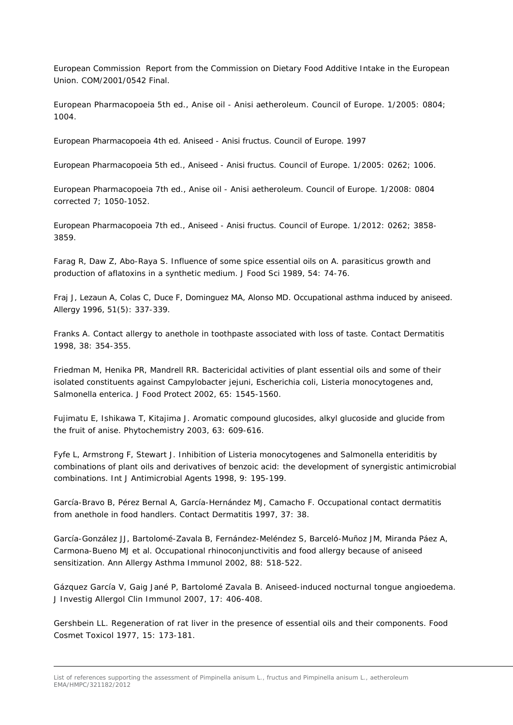European Commission Report from the Commission on Dietary Food Additive Intake in the European Union. COM/2001/0542 Final.

European Pharmacopoeia 5th ed., Anise oil - Anisi aetheroleum. Council of Europe. 1/2005: 0804; 1004.

European Pharmacopoeia 4th ed. Aniseed - Anisi fructus. Council of Europe. 1997

European Pharmacopoeia 5th ed., Aniseed - Anisi fructus. Council of Europe. 1/2005: 0262; 1006.

European Pharmacopoeia 7th ed., Anise oil - Anisi aetheroleum. Council of Europe. 1/2008: 0804 corrected 7; 1050-1052.

European Pharmacopoeia 7th ed., Aniseed - Anisi fructus. Council of Europe. 1/2012: 0262; 3858- 3859.

Farag R, Daw Z, Abo-Raya S. Influence of some spice essential oils on *A. parasiticus* growth and production of aflatoxins in a synthetic medium. J Food Sci 1989, 54: 74-76.

Fraj J, Lezaun A, Colas C, Duce F, Dominguez MA, Alonso MD. Occupational asthma induced by aniseed. Allergy 1996, 51(5): 337-339.

Franks A. Contact allergy to anethole in toothpaste associated with loss of taste. Contact Dermatitis 1998, 38: 354-355.

Friedman M, Henika PR, Mandrell RR. Bactericidal activities of plant essential oils and some of their isolated constituents against *Campylobacter jejuni, Escherichia coli, Listeria monocytogenes* and, *Salmonella enterica*. J Food Protect 2002, 65: 1545-1560.

Fujimatu E, Ishikawa T, Kitajima J. Aromatic compound glucosides, alkyl glucoside and glucide from the fruit of anise. Phytochemistry 2003, 63: 609-616.

Fyfe L, Armstrong F, Stewart J. Inhibition of Listeria monocytogenes and Salmonella enteriditis by combinations of plant oils and derivatives of benzoic acid: the development of synergistic antimicrobial combinations. Int J Antimicrobial Agents 1998, 9: 195-199.

García-Bravo B, Pérez Bernal A, García-Hernández MJ, Camacho F. Occupational contact dermatitis from anethole in food handlers. Contact Dermatitis 1997, 37: 38.

García-González JJ, Bartolomé-Zavala B, Fernández-Meléndez S, Barceló-Muñoz JM, Miranda Páez A, Carmona-Bueno MJ *et al.* Occupational rhinoconjunctivitis and food allergy because of aniseed sensitization. Ann Allergy Asthma Immunol 2002, 88: 518-522.

Gázquez García V, Gaig Jané P, Bartolomé Zavala B. Aniseed-induced nocturnal tongue angioedema. J Investig Allergol Clin Immunol 2007, 17: 406-408.

Gershbein LL. Regeneration of rat liver in the presence of essential oils and their components. Food Cosmet Toxicol 1977, 15: 173-181.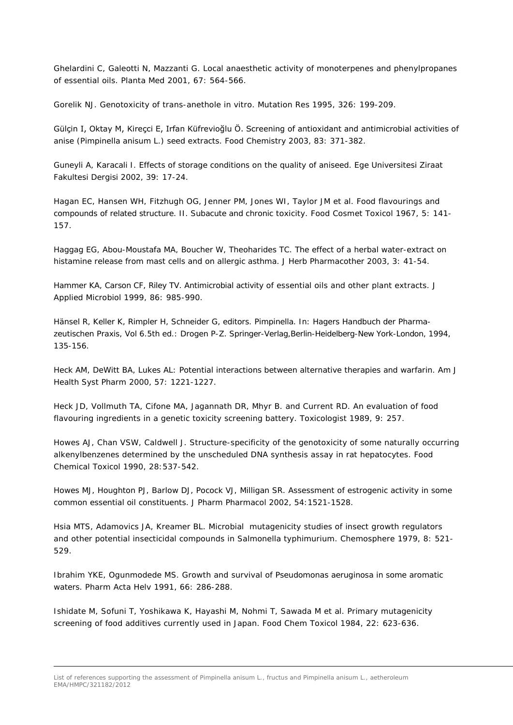Ghelardini C, Galeotti N, Mazzanti G. Local anaesthetic activity of monoterpenes and phenylpropanes of essential oils. Planta Med 2001, 67: 564-566.

Gorelik NJ. Genotoxicity of trans-anethole *in vitro.* Mutation Res 1995, 326: 199-209.

Gülçin I, Oktay M, Kireçci E, Irfan Küfrevioğlu Ö. Screening of antioxidant and antimicrobial activities of anise (*Pimpinella anisum* L.) seed extracts. Food Chemistry 2003, 83: 371-382.

Guneyli A, Karacali I. Effects of storage conditions on the quality of aniseed. Ege Universitesi Ziraat Fakultesi Dergisi 2002, 39: 17-24.

Hagan EC, Hansen WH, Fitzhugh OG, Jenner PM, Jones WI, Taylor JM et al. Food flavourings and compounds of related structure. II. Subacute and chronic toxicity. Food Cosmet Toxicol 1967, 5: 141- 157.

Haggag EG, Abou-Moustafa MA, Boucher W, Theoharides TC. The effect of a herbal water-extract on histamine release from mast cells and on allergic asthma. J Herb Pharmacother 2003, 3: 41-54.

Hammer KA, Carson CF, Riley TV. Antimicrobial activity of essential oils and other plant extracts. J Applied Microbiol 1999, 86: 985-990.

Hänsel R, Keller K, Rimpler H, Schneider G, editors. Pimpinella. In: Hagers Handbuch der Pharmazeutischen Praxis, Vol 6.5th ed.: Drogen P-Z. Springer-Verlag,Berlin-Heidelberg-New York-London, 1994, 135-156.

Heck AM, DeWitt BA, Lukes AL: Potential interactions between alternative therapies and warfarin. Am J Health Syst Pharm 2000, 57: 1221-1227.

Heck JD, Vollmuth TA, Cifone MA, Jagannath DR, Mhyr B. and Current RD. An evaluation of food flavouring ingredients in a genetic toxicity screening battery. Toxicologist 1989, 9: 257.

Howes AJ, Chan VSW, Caldwell J. Structure-specificity of the genotoxicity of some naturally occurring alkenylbenzenes determined by the unscheduled DNA synthesis assay in rat hepatocytes. Food Chemical Toxicol 1990, 28:537-542.

Howes MJ, Houghton PJ, Barlow DJ, Pocock VJ, Milligan SR. Assessment of estrogenic activity in some common essential oil constituents. J Pharm Pharmacol 2002, 54:1521-1528.

Hsia MTS, Adamovics JA, Kreamer BL. Microbial mutagenicity studies of insect growth regulators and other potential insecticidal compounds in *Salmonella typhimurium.* Chemosphere 1979, 8: 521- 529.

Ibrahim YKE, Ogunmodede MS. Growth and survival of *Pseudomonas aeruginosa* in some aromatic waters. Pharm Acta Helv 1991, 66: 286-288.

Ishidate M, Sofuni T, Yoshikawa K, Hayashi M, Nohmi T, Sawada M *et al*. Primary mutagenicity screening of food additives currently used in Japan. Food Chem Toxicol 1984, 22: 623-636.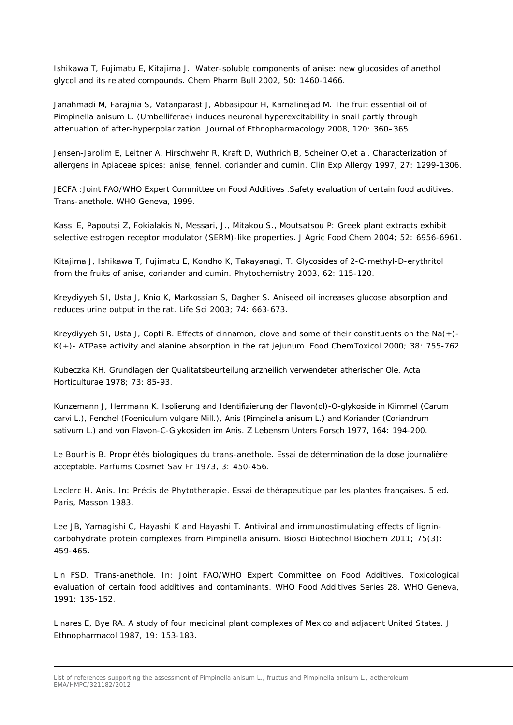Ishikawa T, Fujimatu E, Kitajima J. Water-soluble components of anise: new glucosides of anethol glycol and its related compounds. Chem Pharm Bull 2002, 50: 1460-1466.

Janahmadi M, Farajnia S, Vatanparast J, Abbasipour H, Kamalinejad M. The fruit essential oil of *Pimpinella anisum* L. (Umbelliferae) induces neuronal hyperexcitability in snail partly through attenuation of after-hyperpolarization. Journal of Ethnopharmacology 2008, 120: 360–365.

[Jensen-Jarolim E, Leitner A, Hirschwehr R, Kraft D, Wuthrich B, Scheiner O,](http://www.ncbi.nlm.nih.gov/entrez/query.fcgi?cmd=Retrieve&db=pubmed&dopt=Abstract&list_uids=9420134&query_hl=6&itool=pubmed_docsum)*et al*. Characterization of allergens in Apiaceae spices: anise, fennel, coriander and cumin. Clin Exp Allergy 1997, 27: 1299-1306.

JECFA : Joint FAO/WHO Expert Committee on Food Additives . Safety evaluation of certain food additives. Trans-anethole. WHO Geneva, 1999.

Kassi E, Papoutsi Z, Fokialakis N, Messari, J., Mitakou S., Moutsatsou P: Greek plant extracts exhibit selective estrogen receptor modulator (SERM)-like properties. J Agric Food Chem 2004; 52: 6956-6961.

Kitajima J, Ishikawa T, Fujimatu E, Kondho K, Takayanagi, T. Glycosides of 2-C-methyl-D-erythritol from the fruits of anise, coriander and cumin. Phytochemistry 2003, 62: 115-120.

Kreydiyyeh SI, Usta J, Knio K, Markossian S, Dagher S. Aniseed oil increases glucose absorption and reduces urine output in the rat. Life Sci 2003; 74: 663-673.

Kreydiyyeh SI, Usta J, Copti R. Effects of cinnamon, clove and some of their constituents on the Na(+)- K(+)- ATPase activity and alanine absorption in the rat jejunum. Food ChemToxicol 2000; 38: 755-762.

Kubeczka KH. Grundlagen der Qualitatsbeurteilung arzneilich verwendeter atherischer Ole. Acta Horticulturae 1978; 73: 85-93.

Kunzemann J, Herrmann K. Isolierung and Identifizierung der Flavon(ol)-O-glykoside in Kiimmel *(Carum carvi* L.*),* Fenchel *(Foeniculum vulgare* Mill.), Anis *(Pimpinella anisum* L.) and Koriander *(Coriandrum sativum* L.*)* and von Flavon-C-Glykosiden im Anis. Z Lebensm Unters Forsch 1977, 164: 194-200.

Le Bourhis B. Propriétés biologiques du trans-anethole. Essai de détermination de la dose journalière acceptable. Parfums Cosmet Sav Fr 1973, 3: 450-456.

Leclerc H. Anis. In: Précis de Phytothérapie. Essai de thérapeutique par les plantes françaises. 5 ed. Paris, Masson 1983.

Lee JB, Yamagishi C, Hayashi K and Hayashi T. Antiviral and immunostimulating effects of lignincarbohydrate protein complexes from *Pimpinella anisum*. Biosci Biotechnol Biochem 2011; 75(3): 459-465.

Lin FSD. Trans-anethole. In: Joint FAO/WHO Expert Committee on Food Additives. Toxicological evaluation of certain food additives and contaminants. WHO Food Additives Series *28.* WHO Geneva, 1991: 135-152.

Linares E, Bye RA. A study of four medicinal plant complexes of Mexico and adjacent United States. J Ethnopharmacol 1987, 19: 153-183.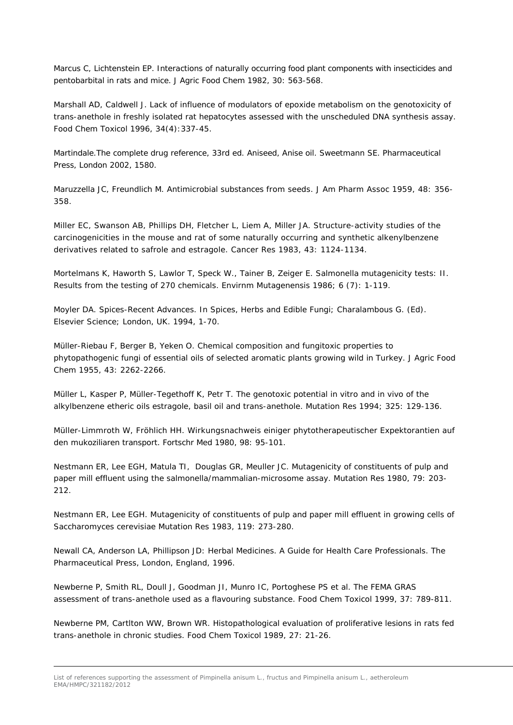Marcus C, Lichtenstein EP. Interactions of naturally occurring food plant components with insecticides and pentobarbital in rats and mice. J Agric Food Chem 1982, 30: 563-568.

Marshall AD, Caldwell J. Lack of influence of modulators of epoxide metabolism on the genotoxicity of trans-anethole in freshly isolated rat hepatocytes assessed with the unscheduled DNA synthesis assay. Food Chem Toxicol 1996, 34(4):337-45.

Martindale.The complete drug reference, 33rd ed. Aniseed, Anise oil. Sweetmann SE. Pharmaceutical Press, London 2002, 1580.

Maruzzella JC, Freundlich M. Antimicrobial substances from seeds. J Am Pharm Assoc 1959, 48: 356- 358.

Miller EC, Swanson AB, Phillips DH, Fletcher L, Liem A, Miller JA. Structure-activity studies of the carcinogenicities in the mouse and rat of some naturally occurring and synthetic alkenylbenzene derivatives related to safrole and estragole. Cancer Res 1983, 43: 1124-1134.

Mortelmans K, Haworth S, Lawlor T, Speck W., Tainer B, Zeiger E. Salmonella mutagenicity tests: II. Results from the testing of 270 chemicals. Envirnm Mutagenensis 1986; 6 (7): 1-119.

Moyler DA. Spices-Recent Advances. In Spices, Herbs and Edible Fungi; Charalambous G. (Ed). Elsevier Science; London, UK. 1994, 1-70.

Müller-Riebau F, Berger B, Yeken O. Chemical composition and fungitoxic properties to phytopathogenic fungi of essential oils of selected aromatic plants growing wild in Turkey. J Agric Food Chem 1955, 43: 2262-2266.

Müller L, Kasper P, Müller-Tegethoff K, Petr T. The genotoxic potential in vitro and in vivo of the alkylbenzene etheric oils estragole, basil oil and trans-anethole. Mutation Res 1994; 325: 129-136.

Müller-Limmroth W, Fröhlich HH. Wirkungsnachweis einiger phytotherapeutischer Expektorantien auf den mukoziliaren transport. Fortschr Med 1980, 98: 95-101.

Nestmann ER, Lee EGH, Matula TI, Douglas GR, Meuller JC. Mutagenicity of constituents of pulp and paper mill effluent using the salmonella/mammalian-microsome assay. Mutation Res 1980, 79: 203- 212.

Nestmann ER, Lee EGH. Mutagenicity of constituents of pulp and paper mill effluent in growing cells of *Saccharomyces cerevisiae* Mutation Res 1983, 119: 273-280.

Newall CA, Anderson LA, Phillipson JD: Herbal Medicines. A Guide for Health Care Professionals. The Pharmaceutical Press, London, England, 1996.

[Newberne P, Smith RL, Doull J, Goodman JI, Munro IC, Portoghese PS](http://www.ncbi.nlm.nih.gov/entrez/query.fcgi?db=pubmed&cmd=Retrieve&dopt=AbstractPlus&list_uids=10496381&query_hl=3&itool=pubmed_docsum) *et al*. The FEMA GRAS assessment of trans-anethole used as a flavouring substance. Food Chem Toxicol 1999, 37: 789-811.

Newberne PM, Cartlton WW, Brown WR. Histopathological evaluation of proliferative lesions in rats fed trans-anethole in chronic studies. Food Chem Toxicol 1989, 27: 21-26.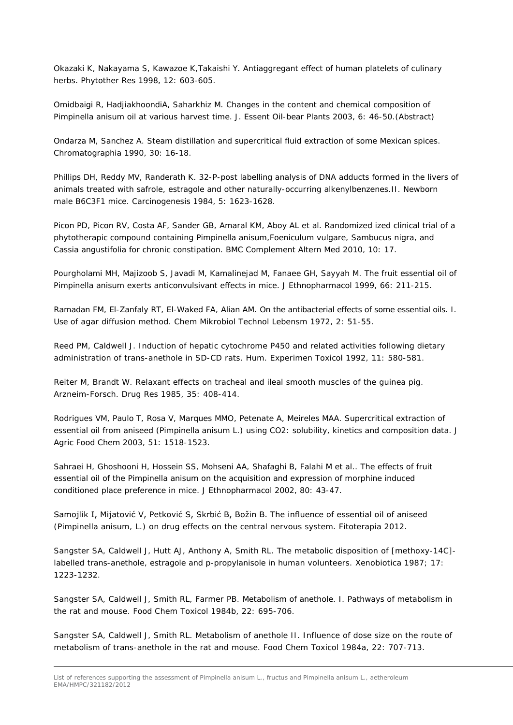Okazaki K, Nakayama S, Kawazoe K,Takaishi Y. Antiaggregant effect of human platelets of culinary herbs. Phytother Res 1998, 12: 603-605.

Omidbaigi R, HadjiakhoondiA, Saharkhiz M. Changes in the content and chemical composition of *Pimpinella anisum* oil at various harvest time. J. Essent Oil-bear Plants 2003, 6: 46-50.(Abstract)

Ondarza M, Sanchez A. Steam distillation and supercritical fluid extraction of some Mexican spices. Chromatographia 1990, 30: 16-18.

Phillips DH, Reddy MV, Randerath K. 32-P-post labelling analysis of DNA adducts formed in the livers of animals treated with safrole, estragole and other naturally-occurring alkenylbenzenes.II. Newborn male B6C3F1 mice. Carcinogenesis 1984, 5: 1623-1628.

Picon PD, Picon RV, Costa AF, Sander GB, Amaral KM, Aboy AL *et al*. Randomized ized clinical trial of a phytotherapic compound containing *Pimpinella anisum*,*Foeniculum vulgare*, *Sambucus nigra*, and *Cassia angustifolia* for chronic constipation. BMC Complement Altern Med 2010, 10: 17.

Pourgholami MH, Majizoob S, Javadi M, Kamalinejad M, Fanaee GH, Sayyah M. The fruit essential oil of *Pimpinella anisum* exerts anticonvulsivant effects in mice. J Ethnopharmacol 1999, 66: 211-215.

Ramadan FM, El-Zanfaly RT, El-Waked FA, Alian AM. On the antibacterial effects of some essential oils. I. Use of agar diffusion method. Chem Mikrobiol Technol Lebensm 1972, 2: 51-55.

Reed PM, Caldwell J. Induction of hepatic cytochrome P450 and related activities following dietary administration of trans-anethole in SD-CD rats. Hum. Experimen Toxicol 1992, 11: 580-581.

Reiter M, Brandt W. Relaxant effects on tracheal and ileal smooth muscles of the guinea pig. Arzneim-Forsch. Drug Res 1985, 35: 408-414.

Rodrigues VM, Paulo T, Rosa V, Marques MMO, Petenate A, Meireles MAA. Supercritical extraction of essential oil from aniseed (*Pimpinella anisum* L.) using CO2: solubility, kinetics and composition data. J Agric Food Chem 2003, 51: 1518-1523.

Sahraei H, Ghoshooni H, Hossein SS, Mohseni AA, Shafaghi B, Falahi M *et al.*. The effects of fruit essential oil of the *Pimpinella anisum* on the acquisition and expression of morphine induced conditioned place preference in mice. J Ethnopharmacol 2002, 80: 43-47.

Samojlik I, Mijatović V, Petković S, Skrbić B, Božin B. The influence of essential oil of aniseed (Pimpinella anisum, L.) on drug effects on the central nervous system. Fitoterapia 2012.

Sangster SA, Caldwell J, Hutt AJ, Anthony A, Smith RL. The metabolic disposition of [methoxy-14C] labelled trans-anethole, estragole and p-propylanisole in human volunteers. Xenobiotica 1987; 17: 1223-1232.

Sangster SA, Caldwell J, Smith RL, Farmer PB. Metabolism of anethole. I. Pathways of metabolism in the rat and mouse. Food Chem Toxicol 1984b, 22: 695-706.

Sangster SA, Caldwell J, Smith RL. Metabolism of anethole II. Influence of dose size on the route of metabolism of trans-anethole in the rat and mouse. Food Chem Toxicol 1984a, 22: 707-713.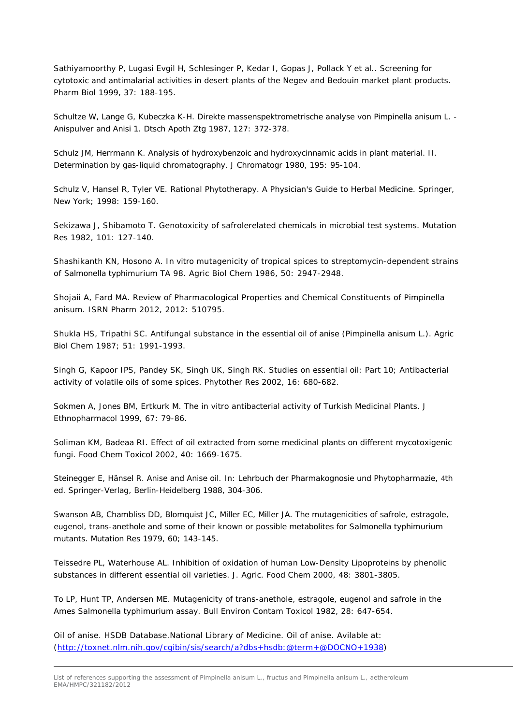Sathiyamoorthy P, Lugasi Evgil H, Schlesinger P, Kedar I, Gopas J, Pollack Y *et al.*. Screening for cytotoxic and antimalarial activities in desert plants of the Negev and Bedouin market plant products. Pharm Biol 1999, 37: 188-195.

Schultze W, Lange G, Kubeczka K-H. Direkte massenspektrometrische analyse von *Pimpinella anisum* L. - Anispulver and Anisi 1. Dtsch Apoth Ztg 1987, 127: 372-378.

Schulz JM, Herrmann K. Analysis of hydroxybenzoic and hydroxycinnamic acids in plant material. II. Determination by gas-liquid chromatography. J Chromatogr 1980, 195: 95-104.

Schulz V, Hansel R, Tyler VE. Rational Phytotherapy. A Physician's Guide to Herbal Medicine. Springer, New York; 1998: 159-160.

Sekizawa J, Shibamoto T. Genotoxicity of safrolerelated chemicals in microbial test systems. Mutation Res 1982, 101: 127-140*.*

Shashikanth KN, Hosono A. *In vitro* mutagenicity of tropical spices to streptomycin-dependent strains of *Salmonella typhimurium* TA 98. Agric Biol Chem 1986, 50: 2947-2948.

Shojaii A, Fard MA. Review of Pharmacological Properties and Chemical Constituents of *Pimpinella anisum*. ISRN Pharm 2012, 2012: 510795.

Shukla HS, Tripathi SC. Antifungal substance in the essential oil of anise (*Pimpinella anisum* L.)*.* Agric Biol Chem 1987; 51: 1991-1993.

Singh G, Kapoor IPS, Pandey SK, Singh UK, Singh RK. Studies on essential oil: Part 10; Antibacterial activity of volatile oils of some spices. Phytother Res 2002, 16: 680-682.

Sokmen A, Jones BM, Ertkurk M. The in vitro antibacterial activity of Turkish Medicinal Plants. J Ethnopharmacol 1999, 67: 79-86.

Soliman KM, Badeaa RI. Effect of oil extracted from some medicinal plants on different mycotoxigenic fungi. Food Chem Toxicol 2002, 40: 1669-1675.

Steinegger E, Hänsel R. Anise and Anise oil. In: Lehrbuch der Pharmakognosie und Phytopharmazie, 4th ed. Springer-Verlag, Berlin-Heidelberg 1988, 304-306.

Swanson AB, Chambliss DD, Blomquist JC, Miller EC, Miller JA. The mutagenicities of safrole, estragole, eugenol, trans-anethole and some of their known or possible metabolites for *Salmonella typhimurium*  mutants. Mutation Res 1979, 60; 143-145.

Teissedre PL, Waterhouse AL. Inhibition of oxidation of human Low-Density Lipoproteins by phenolic substances in different essential oil varieties. J. Agric. Food Chem 2000, 48: 3801-3805.

To LP, Hunt TP, Andersen ME. Mutagenicity of trans-anethole, estragole, eugenol and safrole in the Ames Salmonella typhimurium assay. Bull Environ Contam Toxicol 1982, 28: 647-654.

Oil of anise. HSDB Database.National Library of Medicine. Oil of anise. Avilable at: [\(http://toxnet.nlm.nih.gov/cgibin/sis/search/a?dbs+hsdb:@term+@DOCNO+1938\)](http://toxnet.nlm.nih.gov/cgibin/sis/search/a?dbs+hsdb:@term+@DOCNO+1938)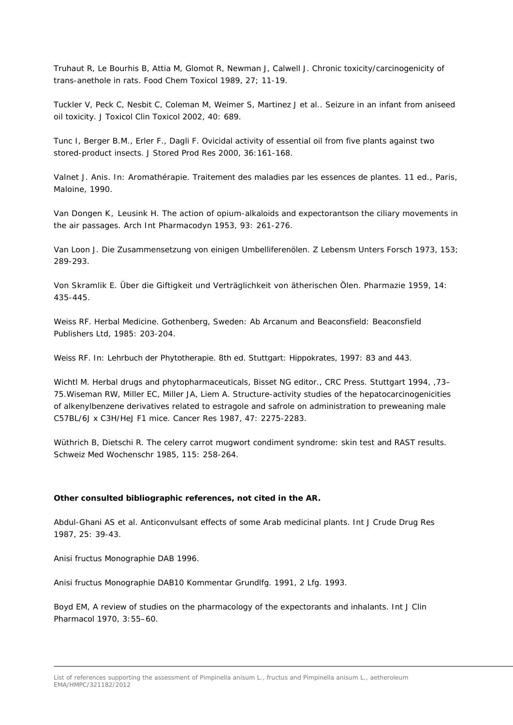Truhaut R, Le Bourhis B, Attia M, Glomot R, Newman J, Calwell J. Chronic toxicity/carcinogenicity of trans-anethole in rats. Food Chem Toxicol 1989, 27; 11-19.

Tuckler V, Peck C, Nesbit C, Coleman M, Weimer S, Martinez J *et al.*. Seizure in an infant from aniseed oil toxicity. J Toxicol Clin Toxicol 2002, 40: 689.

Tunc I, Berger B.M., Erler F., Dagli F. Ovicidal activity of essential oil from five plants against two stored-product insects. J Stored Prod Res 2000, 36:161-168.

Valnet J. Anis. In: Aromathérapie. Traitement des maladies par les essences de plantes. 11 ed., Paris, Maloine, 1990.

Van Dongen K, Leusink H. The action of opium-alkaloids and expectorantson the ciliary movements in the air passages. Arch Int Pharmacodyn 1953, 93: 261-276.

Van Loon J. Die Zusammensetzung von einigen Umbelliferenölen. Z Lebensm Unters Forsch 1973, 153; 289-293.

Von Skramlik E. Über die Giftigkeit und Verträglichkeit von ätherischen Ölen. Pharmazie 1959, 14: 435-445.

Weiss RF. Herbal Medicine. Gothenberg, Sweden: Ab Arcanum and Beaconsfield: Beaconsfield Publishers Ltd, 1985: 203-204.

Weiss RF. In: Lehrbuch der Phytotherapie. 8th ed. Stuttgart: Hippokrates, 1997: 83 and 443.

Wichtl M. Herbal drugs and phytopharmaceuticals, Bisset NG editor., CRC Press. Stuttgart 1994, 73-75.Wiseman RW, Miller EC, Miller JA, Liem A. Structure-activity studies of the hepatocarcinogenicities of alkenylbenzene derivatives related to estragole and safrole on administration to preweaning male C57BL/6J x C3H/HeJ F1 mice. Cancer Res 1987, 47: 2275-2283.

Wüthrich B, Dietschi R. The celery carrot mugwort condiment syndrome: skin test and RAST results. Schweiz Med Wochenschr 1985, 115: 258-264.

## **Other consulted bibliographic references, not cited in the AR.**

Abdul-Ghani AS et al. Anticonvulsant effects of some Arab medicinal plants. Int J Crude Drug Res 1987, 25: 39-43.

Anisi fructus Monographie DAB 1996.

Anisi fructus Monographie DAB10 Kommentar Grundlfg. 1991, 2 Lfg. 1993.

Boyd EM, A review of studies on the pharmacology of the expectorants and inhalants. Int J Clin Pharmacol 1970, 3:55–60.